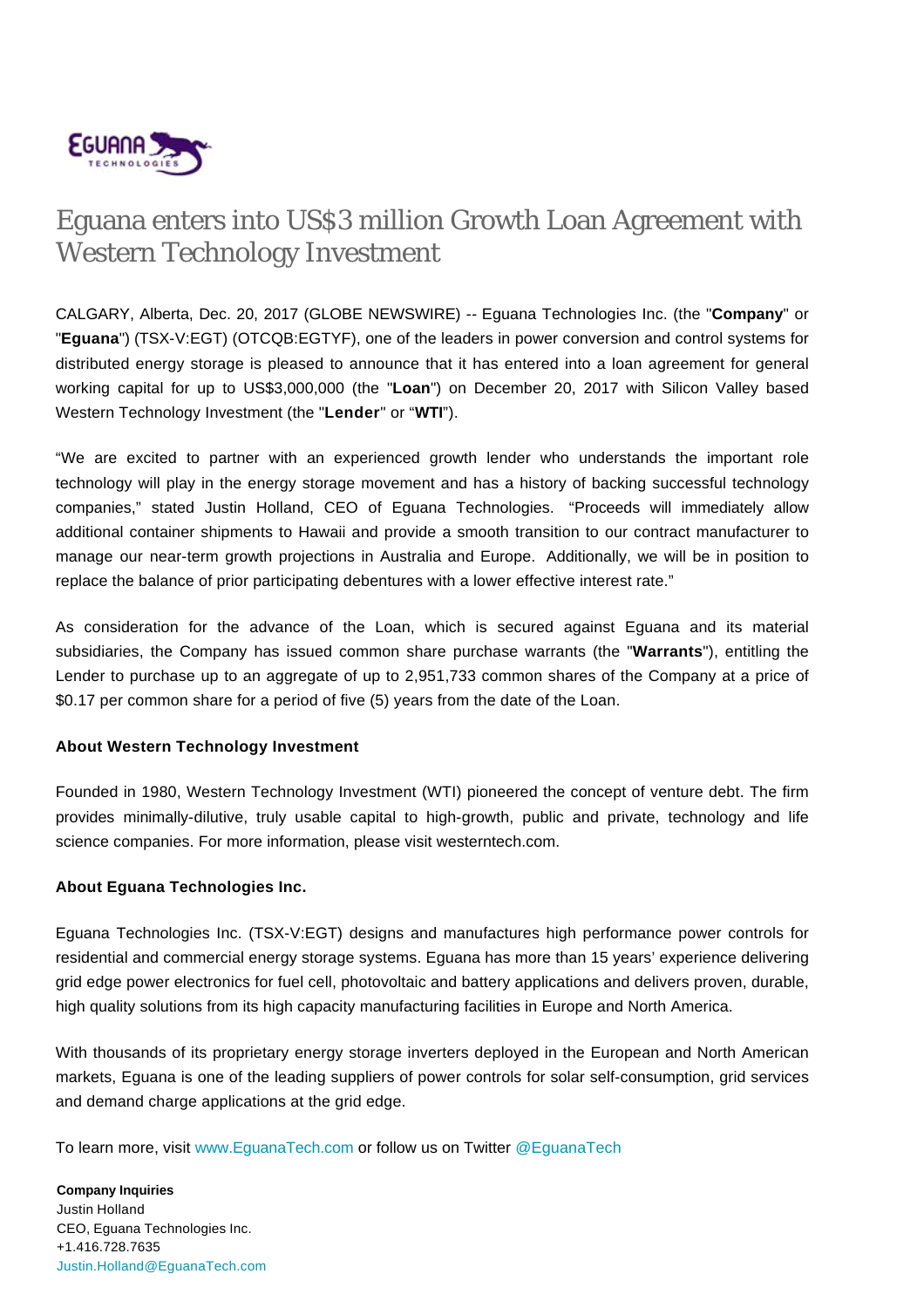

## Eguana enters into US\$3 million Growth Loan Agreement with Western Technology Investment

CALGARY, Alberta, Dec. 20, 2017 (GLOBE NEWSWIRE) -- Eguana Technologies Inc. (the "**Company**" or "**Eguana**") (TSX-V:EGT) (OTCQB:EGTYF), one of the leaders in power conversion and control systems for distributed energy storage is pleased to announce that it has entered into a loan agreement for general working capital for up to US\$3,000,000 (the "**Loan**") on December 20, 2017 with Silicon Valley based Western Technology Investment (the "**Lender**" or "**WTI**").

"We are excited to partner with an experienced growth lender who understands the important role technology will play in the energy storage movement and has a history of backing successful technology companies," stated Justin Holland, CEO of Eguana Technologies. "Proceeds will immediately allow additional container shipments to Hawaii and provide a smooth transition to our contract manufacturer to manage our near-term growth projections in Australia and Europe. Additionally, we will be in position to replace the balance of prior participating debentures with a lower effective interest rate."

As consideration for the advance of the Loan, which is secured against Eguana and its material subsidiaries, the Company has issued common share purchase warrants (the "**Warrants**"), entitling the Lender to purchase up to an aggregate of up to 2,951,733 common shares of the Company at a price of \$0.17 per common share for a period of five (5) years from the date of the Loan.

## **About Western Technology Investment**

Founded in 1980, Western Technology Investment (WTI) pioneered the concept of venture debt. The firm provides minimally-dilutive, truly usable capital to high-growth, public and private, technology and life science companies. For more information, please visit westerntech.com.

## **About Eguana Technologies Inc.**

Eguana Technologies Inc. (TSX-V:EGT) designs and manufactures high performance power controls for residential and commercial energy storage systems. Eguana has more than 15 years' experience delivering grid edge power electronics for fuel cell, photovoltaic and battery applications and delivers proven, durable, high quality solutions from its high capacity manufacturing facilities in Europe and North America.

With thousands of its proprietary energy storage inverters deployed in the European and North American markets, Eguana is one of the leading suppliers of power controls for solar self-consumption, grid services and demand charge applications at the grid edge.

To learn more, visit [www.EguanaTech.com](http://www.eguanatech.com/) or follow us on Twitter [@EguanaTech](https://twitter.com/EguanaTech)

**Company Inquiries** Justin Holland CEO, Eguana Technologies Inc. +1.416.728.7635 [Justin.Holland@EguanaTech.com](mailto:Justin.Holland@EguanaTech.com)